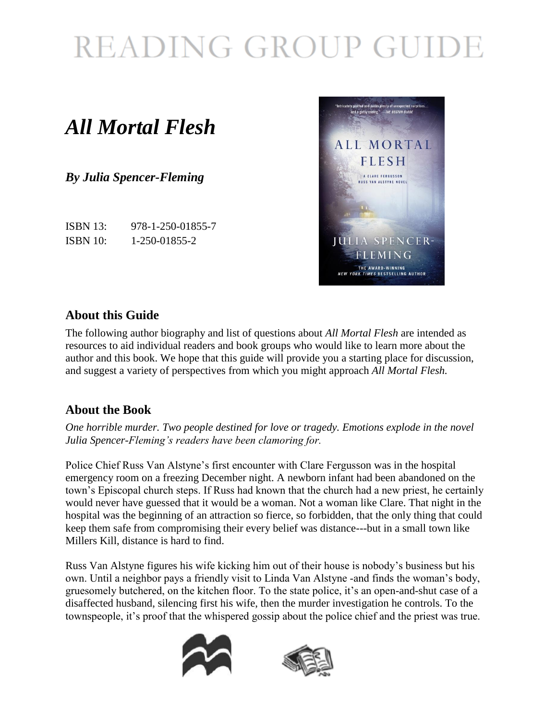# READING GROUP GUIDE

### *All Mortal Flesh*

*By Julia Spencer-Fleming*

ISBN 13: 978-1-250-01855-7 ISBN 10: 1-250-01855-2



### **About this Guide**

The following author biography and list of questions about *All Mortal Flesh* are intended as resources to aid individual readers and book groups who would like to learn more about the author and this book. We hope that this guide will provide you a starting place for discussion, and suggest a variety of perspectives from which you might approach *All Mortal Flesh.*

### **About the Book**

*One horrible murder. Two people destined for love or tragedy. Emotions explode in the novel Julia Spencer-Fleming's readers have been clamoring for.*

Police Chief Russ Van Alstyne's first encounter with Clare Fergusson was in the hospital emergency room on a freezing December night. A newborn infant had been abandoned on the town's Episcopal church steps. If Russ had known that the church had a new priest, he certainly would never have guessed that it would be a woman. Not a woman like Clare. That night in the hospital was the beginning of an attraction so fierce, so forbidden, that the only thing that could keep them safe from compromising their every belief was distance---but in a small town like Millers Kill, distance is hard to find.

Russ Van Alstyne figures his wife kicking him out of their house is nobody's business but his own. Until a neighbor pays a friendly visit to Linda Van Alstyne - and finds the woman's body, gruesomely butchered, on the kitchen floor. To the state police, it's an open-and-shut case of a disaffected husband, silencing first his wife, then the murder investigation he controls. To the townspeople, it's proof that the whispered gossip about the police chief and the priest was true.



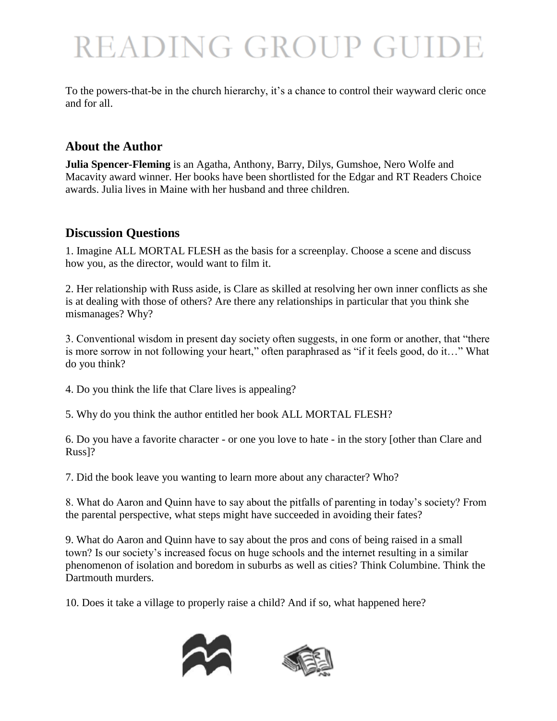## READING GROUP GUIDE

To the powers-that-be in the church hierarchy, it's a chance to control their wayward cleric once and for all.

#### **About the Author**

**Julia Spencer-Fleming** is an Agatha, Anthony, Barry, Dilys, Gumshoe, Nero Wolfe and Macavity award winner. Her books have been shortlisted for the Edgar and RT Readers Choice awards. Julia lives in Maine with her husband and three children.

#### **Discussion Questions**

1. Imagine ALL MORTAL FLESH as the basis for a screenplay. Choose a scene and discuss how you, as the director, would want to film it.

2. Her relationship with Russ aside, is Clare as skilled at resolving her own inner conflicts as she is at dealing with those of others? Are there any relationships in particular that you think she mismanages? Why?

3. Conventional wisdom in present day society often suggests, in one form or another, that "there is more sorrow in not following your heart," often paraphrased as "if it feels good, do it…" What do you think?

4. Do you think the life that Clare lives is appealing?

5. Why do you think the author entitled her book ALL MORTAL FLESH?

6. Do you have a favorite character - or one you love to hate - in the story [other than Clare and Russ]?

7. Did the book leave you wanting to learn more about any character? Who?

8. What do Aaron and Quinn have to say about the pitfalls of parenting in today's society? From the parental perspective, what steps might have succeeded in avoiding their fates?

9. What do Aaron and Quinn have to say about the pros and cons of being raised in a small town? Is our society's increased focus on huge schools and the internet resulting in a similar phenomenon of isolation and boredom in suburbs as well as cities? Think Columbine. Think the Dartmouth murders.

10. Does it take a village to properly raise a child? And if so, what happened here?